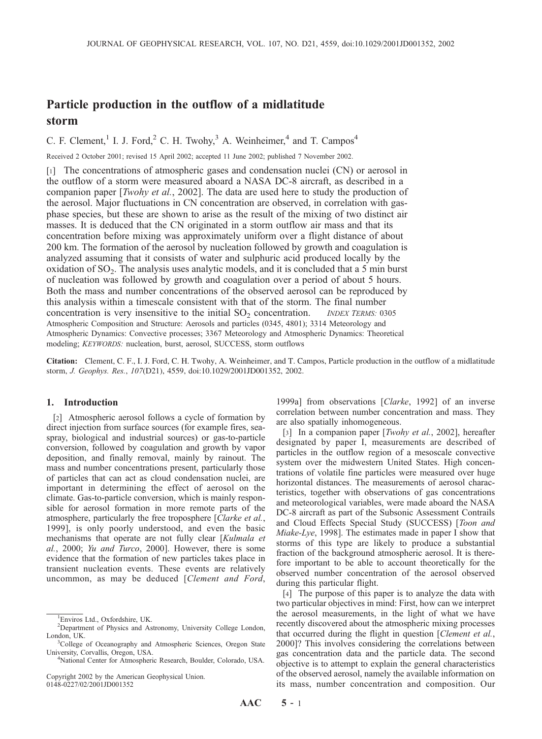# Particle production in the outflow of a midlatitude storm

C. F. Clement,<sup>1</sup> I. J. Ford,<sup>2</sup> C. H. Twohy,<sup>3</sup> A. Weinheimer,<sup>4</sup> and T. Campos<sup>4</sup>

Received 2 October 2001; revised 15 April 2002; accepted 11 June 2002; published 7 November 2002.

[1] The concentrations of atmospheric gases and condensation nuclei (CN) or aerosol in the outflow of a storm were measured aboard a NASA DC-8 aircraft, as described in a companion paper [*Twohy et al.*, 2002]. The data are used here to study the production of the aerosol. Major fluctuations in CN concentration are observed, in correlation with gasphase species, but these are shown to arise as the result of the mixing of two distinct air masses. It is deduced that the CN originated in a storm outflow air mass and that its concentration before mixing was approximately uniform over a flight distance of about 200 km. The formation of the aerosol by nucleation followed by growth and coagulation is analyzed assuming that it consists of water and sulphuric acid produced locally by the oxidation of  $SO_2$ . The analysis uses analytic models, and it is concluded that a 5 min burst of nucleation was followed by growth and coagulation over a period of about 5 hours. Both the mass and number concentrations of the observed aerosol can be reproduced by this analysis within a timescale consistent with that of the storm. The final number concentration is very insensitive to the initial  $SO<sub>2</sub>$  concentration. *INDEX TERMS:* 0305 Atmospheric Composition and Structure: Aerosols and particles (0345, 4801); 3314 Meteorology and Atmospheric Dynamics: Convective processes; 3367 Meteorology and Atmospheric Dynamics: Theoretical modeling; KEYWORDS: nucleation, burst, aerosol, SUCCESS, storm outflows

Citation: Clement, C. F., I. J. Ford, C. H. Twohy, A. Weinheimer, and T. Campos, Particle production in the outflow of a midlatitude storm, J. Geophys. Res., 107(D21), 4559, doi:10.1029/2001JD001352, 2002.

## 1. Introduction

[2] Atmospheric aerosol follows a cycle of formation by direct injection from surface sources (for example fires, seaspray, biological and industrial sources) or gas-to-particle conversion, followed by coagulation and growth by vapor deposition, and finally removal, mainly by rainout. The mass and number concentrations present, particularly those of particles that can act as cloud condensation nuclei, are important in determining the effect of aerosol on the climate. Gas-to-particle conversion, which is mainly responsible for aerosol formation in more remote parts of the atmosphere, particularly the free troposphere [Clarke et al., 1999], is only poorly understood, and even the basic mechanisms that operate are not fully clear [Kulmala et] al., 2000; Yu and Turco, 2000]. However, there is some evidence that the formation of new particles takes place in transient nucleation events. These events are relatively uncommon, as may be deduced [Clement and Ford,

1999a] from observations [Clarke, 1992] of an inverse correlation between number concentration and mass. They are also spatially inhomogeneous.

[3] In a companion paper [*Twohy et al.*, 2002], hereafter designated by paper I, measurements are described of particles in the outflow region of a mesoscale convective system over the midwestern United States. High concentrations of volatile fine particles were measured over huge horizontal distances. The measurements of aerosol characteristics, together with observations of gas concentrations and meteorological variables, were made aboard the NASA DC-8 aircraft as part of the Subsonic Assessment Contrails and Cloud Effects Special Study (SUCCESS) [Toon and Miake-Lye, 1998]. The estimates made in paper I show that storms of this type are likely to produce a substantial fraction of the background atmospheric aerosol. It is therefore important to be able to account theoretically for the observed number concentration of the aerosol observed during this particular flight.

[4] The purpose of this paper is to analyze the data with two particular objectives in mind: First, how can we interpret the aerosol measurements, in the light of what we have recently discovered about the atmospheric mixing processes that occurred during the flight in question [Clement et al., 2000]? This involves considering the correlations between gas concentration data and the particle data. The second objective is to attempt to explain the general characteristics of the observed aerosol, namely the available information on its mass, number concentration and composition. Our

<sup>1</sup> Enviros Ltd., Oxfordshire, UK.

<sup>2</sup> Department of Physics and Astronomy, University College London, London, UK.

College of Oceanography and Atmospheric Sciences, Oregon State University, Corvallis, Oregon, USA. <sup>4</sup>

National Center for Atmospheric Research, Boulder, Colorado, USA.

Copyright 2002 by the American Geophysical Union. 0148-0227/02/2001JD001352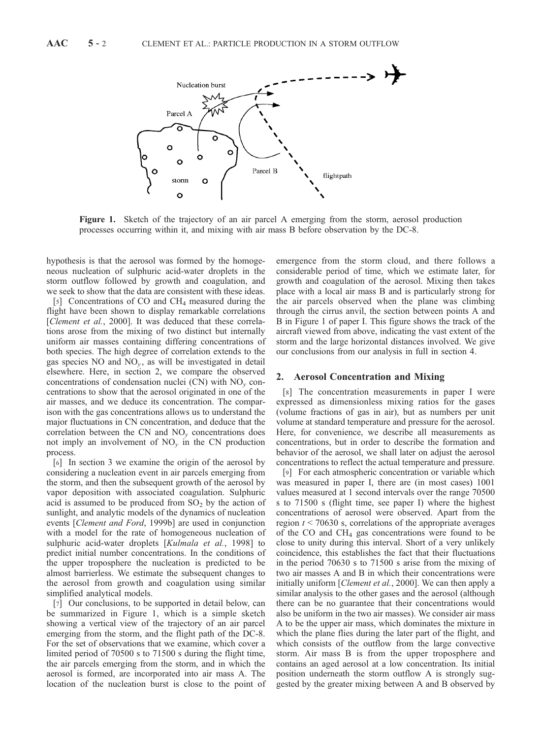

Figure 1. Sketch of the trajectory of an air parcel A emerging from the storm, aerosol production processes occurring within it, and mixing with air mass B before observation by the DC-8.

hypothesis is that the aerosol was formed by the homogeneous nucleation of sulphuric acid-water droplets in the storm outflow followed by growth and coagulation, and we seek to show that the data are consistent with these ideas.

[5] Concentrations of CO and CH<sub>4</sub> measured during the flight have been shown to display remarkable correlations [Clement et al., 2000]. It was deduced that these correlations arose from the mixing of two distinct but internally uniform air masses containing differing concentrations of both species. The high degree of correlation extends to the gas species NO and  $NO<sub>v</sub>$ , as will be investigated in detail elsewhere. Here, in section 2, we compare the observed concentrations of condensation nuclei (CN) with  $NO<sub>v</sub>$  concentrations to show that the aerosol originated in one of the air masses, and we deduce its concentration. The comparison with the gas concentrations allows us to understand the major fluctuations in CN concentration, and deduce that the correlation between the CN and  $NO<sub>v</sub>$  concentrations does not imply an involvement of  $NO<sub>v</sub>$  in the CN production process.

[6] In section 3 we examine the origin of the aerosol by considering a nucleation event in air parcels emerging from the storm, and then the subsequent growth of the aerosol by vapor deposition with associated coagulation. Sulphuric acid is assumed to be produced from  $SO<sub>2</sub>$  by the action of sunlight, and analytic models of the dynamics of nucleation events [Clement and Ford, 1999b] are used in conjunction with a model for the rate of homogeneous nucleation of sulphuric acid-water droplets [Kulmala et al., 1998] to predict initial number concentrations. In the conditions of the upper troposphere the nucleation is predicted to be almost barrierless. We estimate the subsequent changes to the aerosol from growth and coagulation using similar simplified analytical models.

[7] Our conclusions, to be supported in detail below, can be summarized in Figure 1, which is a simple sketch showing a vertical view of the trajectory of an air parcel emerging from the storm, and the flight path of the DC-8. For the set of observations that we examine, which cover a limited period of 70500 s to 71500 s during the flight time, the air parcels emerging from the storm, and in which the aerosol is formed, are incorporated into air mass A. The location of the nucleation burst is close to the point of emergence from the storm cloud, and there follows a considerable period of time, which we estimate later, for growth and coagulation of the aerosol. Mixing then takes place with a local air mass B and is particularly strong for the air parcels observed when the plane was climbing through the cirrus anvil, the section between points A and B in Figure 1 of paper I. This figure shows the track of the aircraft viewed from above, indicating the vast extent of the storm and the large horizontal distances involved. We give our conclusions from our analysis in full in section 4.

#### 2. Aerosol Concentration and Mixing

[8] The concentration measurements in paper I were expressed as dimensionless mixing ratios for the gases (volume fractions of gas in air), but as numbers per unit volume at standard temperature and pressure for the aerosol. Here, for convenience, we describe all measurements as concentrations, but in order to describe the formation and behavior of the aerosol, we shall later on adjust the aerosol concentrations to reflect the actual temperature and pressure.

[9] For each atmospheric concentration or variable which was measured in paper I, there are (in most cases) 1001 values measured at 1 second intervals over the range 70500 s to 71500 s (flight time, see paper I) where the highest concentrations of aerosol were observed. Apart from the region  $t < 70630$  s, correlations of the appropriate averages of the CO and  $CH_4$  gas concentrations were found to be close to unity during this interval. Short of a very unlikely coincidence, this establishes the fact that their fluctuations in the period 70630 s to 71500 s arise from the mixing of two air masses A and B in which their concentrations were initially uniform [*Clement et al.*, 2000]. We can then apply a similar analysis to the other gases and the aerosol (although there can be no guarantee that their concentrations would also be uniform in the two air masses). We consider air mass A to be the upper air mass, which dominates the mixture in which the plane flies during the later part of the flight, and which consists of the outflow from the large convective storm. Air mass B is from the upper troposphere and contains an aged aerosol at a low concentration. Its initial position underneath the storm outflow A is strongly suggested by the greater mixing between A and B observed by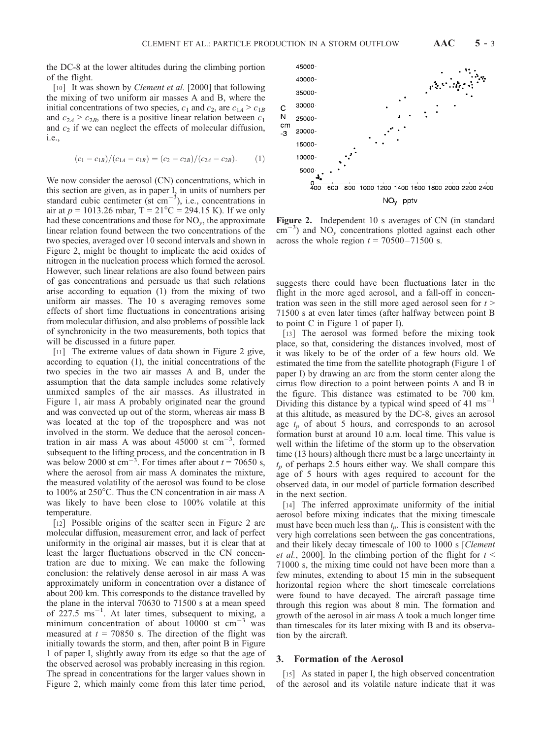the DC-8 at the lower altitudes during the climbing portion of the flight.

[10] It was shown by *Clement et al.* [2000] that following the mixing of two uniform air masses A and B, where the initial concentrations of two species,  $c_1$  and  $c_2$ , are  $c_{1A} > c_{1B}$ and  $c_{2A} > c_{2B}$ , there is a positive linear relation between  $c_1$ and  $c_2$  if we can neglect the effects of molecular diffusion, i.e.,

$$
(c_1 - c_{1B})/(c_{1A} - c_{1B}) = (c_2 - c_{2B})/(c_{2A} - c_{2B}).
$$
 (1)

We now consider the aerosol (CN) concentrations, which in this section are given, as in paper I, in units of numbers per standard cubic centimeter (st cm<sup>-3</sup>), i.e., concentrations in air at  $p = 1013.26$  mbar,  $T = 21^{\circ}C = 294.15$  K). If we only had these concentrations and those for  $NO<sub>v</sub>$ , the approximate linear relation found between the two concentrations of the two species, averaged over 10 second intervals and shown in Figure 2, might be thought to implicate the acid oxides of nitrogen in the nucleation process which formed the aerosol. However, such linear relations are also found between pairs of gas concentrations and persuade us that such relations arise according to equation (1) from the mixing of two uniform air masses. The 10 s averaging removes some effects of short time fluctuations in concentrations arising from molecular diffusion, and also problems of possible lack of synchronicity in the two measurements, both topics that will be discussed in a future paper.

[11] The extreme values of data shown in Figure 2 give, according to equation (1), the initial concentrations of the two species in the two air masses A and B, under the assumption that the data sample includes some relatively unmixed samples of the air masses. As illustrated in Figure 1, air mass A probably originated near the ground and was convected up out of the storm, whereas air mass B was located at the top of the troposphere and was not involved in the storm. We deduce that the aerosol concentration in air mass A was about  $45000$  st cm<sup>-3</sup>, formed subsequent to the lifting process, and the concentration in B was below 2000 st cm<sup>-3</sup>. For times after about  $t = 70650$  s, where the aerosol from air mass A dominates the mixture, the measured volatility of the aerosol was found to be close to  $100\%$  at  $250^{\circ}$ C. Thus the CN concentration in air mass A was likely to have been close to 100% volatile at this temperature.

[12] Possible origins of the scatter seen in Figure 2 are molecular diffusion, measurement error, and lack of perfect uniformity in the original air masses, but it is clear that at least the larger fluctuations observed in the CN concentration are due to mixing. We can make the following conclusion: the relatively dense aerosol in air mass A was approximately uniform in concentration over a distance of about 200 km. This corresponds to the distance travelled by the plane in the interval 70630 to 71500 s at a mean speed of  $227.5 \text{ ms}^{-1}$ . At later times, subsequent to mixing, a minimum concentration of about 10000 st  $cm^{-3}$  was measured at  $t = 70850$  s. The direction of the flight was initially towards the storm, and then, after point B in Figure 1 of paper I, slightly away from its edge so that the age of the observed aerosol was probably increasing in this region. The spread in concentrations for the larger values shown in Figure 2, which mainly come from this later time period,



Figure 2. Independent 10 s averages of CN (in standard  $\text{cm}^{-3}$ ) and NO<sub>y</sub> concentrations plotted against each other across the whole region  $t = 70500 - 71500$  s.

suggests there could have been fluctuations later in the flight in the more aged aerosol, and a fall-off in concentration was seen in the still more aged aerosol seen for  $t >$ 71500 s at even later times (after halfway between point B to point C in Figure 1 of paper I).

[13] The aerosol was formed before the mixing took place, so that, considering the distances involved, most of it was likely to be of the order of a few hours old. We estimated the time from the satellite photograph (Figure 1 of paper I) by drawing an arc from the storm center along the cirrus flow direction to a point between points A and B in the figure. This distance was estimated to be 700 km. Dividing this distance by a typical wind speed of  $41 \text{ ms}^{-1}$ at this altitude, as measured by the DC-8, gives an aerosol age  $t_p$  of about 5 hours, and corresponds to an aerosol formation burst at around 10 a.m. local time. This value is well within the lifetime of the storm up to the observation time (13 hours) although there must be a large uncertainty in  $t_p$  of perhaps 2.5 hours either way. We shall compare this age of 5 hours with ages required to account for the observed data, in our model of particle formation described in the next section.

[14] The inferred approximate uniformity of the initial aerosol before mixing indicates that the mixing timescale must have been much less than  $t_p$ . This is consistent with the very high correlations seen between the gas concentrations, and their likely decay timescale of 100 to 1000 s [Clement *et al.*, 2000]. In the climbing portion of the flight for  $t <$ 71000 s, the mixing time could not have been more than a few minutes, extending to about 15 min in the subsequent horizontal region where the short timescale correlations were found to have decayed. The aircraft passage time through this region was about 8 min. The formation and growth of the aerosol in air mass A took a much longer time than timescales for its later mixing with B and its observation by the aircraft.

## 3. Formation of the Aerosol

[15] As stated in paper I, the high observed concentration of the aerosol and its volatile nature indicate that it was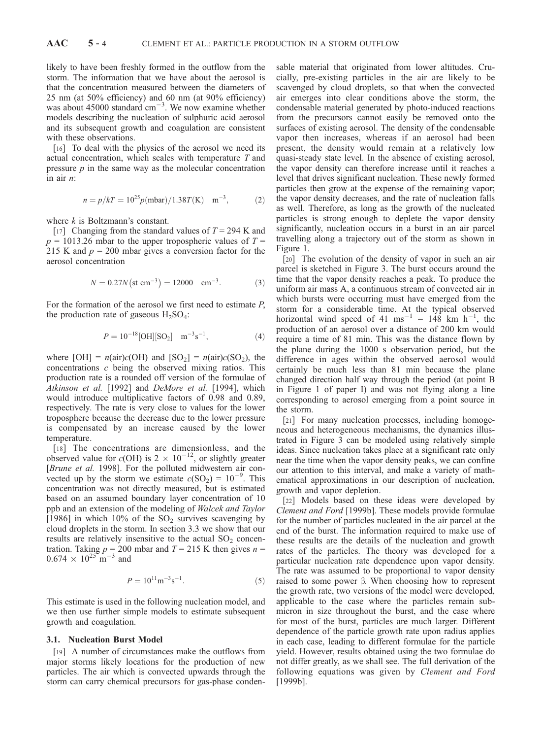likely to have been freshly formed in the outflow from the storm. The information that we have about the aerosol is that the concentration measured between the diameters of 25 nm (at 50% efficiency) and 60 nm (at 90% efficiency) was about 45000 standard  $\text{cm}^{-3}$ . We now examine whether models describing the nucleation of sulphuric acid aerosol and its subsequent growth and coagulation are consistent with these observations.

[16] To deal with the physics of the aerosol we need its actual concentration, which scales with temperature T and pressure  $p$  in the same way as the molecular concentration in air n:

$$
n = p/kT = 10^{25} p(mbar)/1.38T(K) \text{ m}^{-3}, \text{ (2)}
$$

where  $k$  is Boltzmann's constant.

[17] Changing from the standard values of  $T = 294$  K and  $p = 1013.26$  mbar to the upper tropospheric values of  $T =$ 215 K and  $p = 200$  mbar gives a conversion factor for the aerosol concentration

$$
N = 0.27N \text{(st cm}^{-3}) = 12000 \text{ cm}^{-3}. \tag{3}
$$

For the formation of the aerosol we first need to estimate P, the production rate of gaseous  $H_2SO_4$ :

$$
P = 10^{-18} \text{[OH]}[\text{SO}_2] \quad \text{m}^{-3}\text{s}^{-1},\tag{4}
$$

where  $[OH] = n(air)c(OH)$  and  $[SO_2] = n(air)c(SO_2)$ , the concentrations  $c$  being the observed mixing ratios. This production rate is a rounded off version of the formulae of Atkinson et al. [1992] and DeMore et al. [1994], which would introduce multiplicative factors of 0.98 and 0.89, respectively. The rate is very close to values for the lower troposphere because the decrease due to the lower pressure is compensated by an increase caused by the lower temperature.

[18] The concentrations are dimensionless, and the observed value for  $c(OH)$  is  $2 \times 10^{-12}$ , or slightly greater [Brune et al. 1998]. For the polluted midwestern air convected up by the storm we estimate  $c(SO_2) = 10^{-9}$ . This concentration was not directly measured, but is estimated based on an assumed boundary layer concentration of 10 ppb and an extension of the modeling of Walcek and Taylor [1986] in which 10% of the  $SO_2$  survives scavenging by cloud droplets in the storm. In section 3.3 we show that our results are relatively insensitive to the actual  $SO<sub>2</sub>$  concentration. Taking  $p = 200$  mbar and  $T = 215$  K then gives  $n =$  $0.674 \times 10^{25} \text{ m}^{-3}$  and

$$
P = 10^{11} \text{m}^{-3} \text{s}^{-1}.
$$
 (5)

This estimate is used in the following nucleation model, and we then use further simple models to estimate subsequent growth and coagulation.

#### 3.1. Nucleation Burst Model

[19] A number of circumstances make the outflows from major storms likely locations for the production of new particles. The air which is convected upwards through the storm can carry chemical precursors for gas-phase condensable material that originated from lower altitudes. Crucially, pre-existing particles in the air are likely to be scavenged by cloud droplets, so that when the convected air emerges into clear conditions above the storm, the condensable material generated by photo-induced reactions from the precursors cannot easily be removed onto the surfaces of existing aerosol. The density of the condensable vapor then increases, whereas if an aerosol had been present, the density would remain at a relatively low quasi-steady state level. In the absence of existing aerosol, the vapor density can therefore increase until it reaches a level that drives significant nucleation. These newly formed particles then grow at the expense of the remaining vapor; the vapor density decreases, and the rate of nucleation falls as well. Therefore, as long as the growth of the nucleated particles is strong enough to deplete the vapor density significantly, nucleation occurs in a burst in an air parcel travelling along a trajectory out of the storm as shown in Figure 1.

[20] The evolution of the density of vapor in such an air parcel is sketched in Figure 3. The burst occurs around the time that the vapor density reaches a peak. To produce the uniform air mass A, a continuous stream of convected air in which bursts were occurring must have emerged from the storm for a considerable time. At the typical observed horizontal wind speed of 41 ms<sup>-1</sup> = 148 km h<sup>-1</sup>, the production of an aerosol over a distance of 200 km would require a time of 81 min. This was the distance flown by the plane during the 1000 s observation period, but the difference in ages within the observed aerosol would certainly be much less than 81 min because the plane changed direction half way through the period (at point B in Figure 1 of paper I) and was not flying along a line corresponding to aerosol emerging from a point source in the storm.

[21] For many nucleation processes, including homogeneous and heterogeneous mechanisms, the dynamics illustrated in Figure 3 can be modeled using relatively simple ideas. Since nucleation takes place at a significant rate only near the time when the vapor density peaks, we can confine our attention to this interval, and make a variety of mathematical approximations in our description of nucleation, growth and vapor depletion.

[22] Models based on these ideas were developed by Clement and Ford [1999b]. These models provide formulae for the number of particles nucleated in the air parcel at the end of the burst. The information required to make use of these results are the details of the nucleation and growth rates of the particles. The theory was developed for a particular nucleation rate dependence upon vapor density. The rate was assumed to be proportional to vapor density raised to some power  $\beta$ . When choosing how to represent the growth rate, two versions of the model were developed, applicable to the case where the particles remain submicron in size throughout the burst, and the case where for most of the burst, particles are much larger. Different dependence of the particle growth rate upon radius applies in each case, leading to different formulae for the particle yield. However, results obtained using the two formulae do not differ greatly, as we shall see. The full derivation of the following equations was given by Clement and Ford [1999b].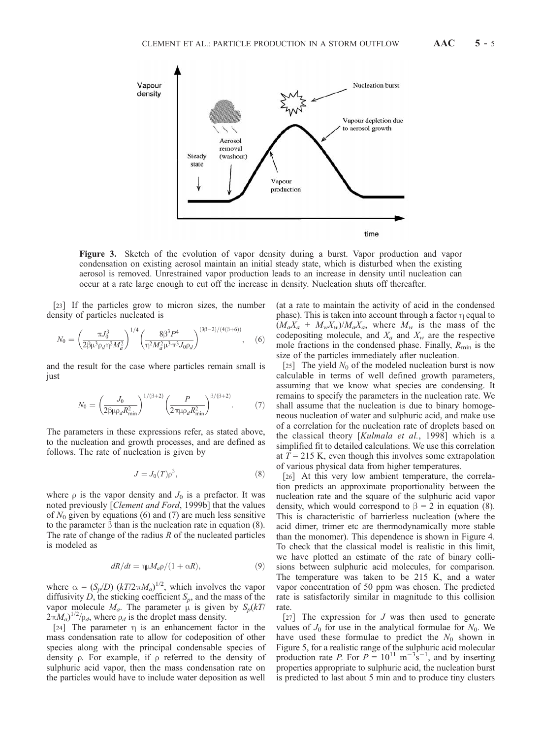

Figure 3. Sketch of the evolution of vapor density during a burst. Vapor production and vapor condensation on existing aerosol maintain an initial steady state, which is disturbed when the existing aerosol is removed. Unrestrained vapor production leads to an increase in density until nucleation can occur at a rate large enough to cut off the increase in density. Nucleation shuts off thereafter.

[23] If the particles grow to micron sizes, the number density of particles nucleated is

$$
N_0 = \left(\frac{\pi J_0^3}{2\beta \mu^3 \rho_d \eta^2 M_a^2}\right)^{1/4} \left(\frac{8\beta^3 P^4}{\eta^2 M_a^2 \mu^3 \pi^3 J_0 \rho_d}\right)^{(3\beta - 2)/(4(\beta + 6))}, \quad (6)
$$

and the result for the case where particles remain small is just

$$
N_0 = \left(\frac{J_0}{2\beta\mu_q R_{\min}^2}\right)^{1/(\beta+2)} \left(\frac{P}{2\pi\mu_q R_{\min}^2}\right)^{\beta/(\beta+2)}.\tag{7}
$$

The parameters in these expressions refer, as stated above, to the nucleation and growth processes, and are defined as follows. The rate of nucleation is given by

$$
J = J_0(T)\rho^{\beta},\tag{8}
$$

where  $\rho$  is the vapor density and  $J_0$  is a prefactor. It was noted previously [Clement and Ford, 1999b] that the values of  $N_0$  given by equations (6) and (7) are much less sensitive to the parameter  $\beta$  than is the nucleation rate in equation (8). The rate of change of the radius  $R$  of the nucleated particles is modeled as

$$
dR/dt = \eta \mu M_a \rho / (1 + \alpha R), \qquad (9)
$$

where  $\alpha = (S_p/D)$   $(kT/2\pi M_a)^{1/2}$ , which involves the vapor diffusivity D, the sticking coefficient  $S_p$ , and the mass of the vapor molecule  $M_a$ . The parameter  $\mu$  is given by  $S_p(kT)$  $2\pi M_a$ <sup>1/2</sup>/ $\rho_d$ , where  $\rho_d$  is the droplet mass density.

[24] The parameter  $\eta$  is an enhancement factor in the mass condensation rate to allow for codeposition of other species along with the principal condensable species of density  $\rho$ . For example, if  $\rho$  referred to the density of sulphuric acid vapor, then the mass condensation rate on the particles would have to include water deposition as well

(at a rate to maintain the activity of acid in the condensed phase). This is taken into account through a factor  $\eta$  equal to  $(M_a X_a + M_w X_w) / M_a X_a$ , where  $M_w$  is the mass of the codepositing molecule, and  $X_a$  and  $X_w$  are the respective mole fractions in the condensed phase. Finally,  $R_{\text{min}}$  is the size of the particles immediately after nucleation.

[25] The yield  $N_0$  of the modeled nucleation burst is now calculable in terms of well defined growth parameters, assuming that we know what species are condensing. It remains to specify the parameters in the nucleation rate. We shall assume that the nucleation is due to binary homogeneous nucleation of water and sulphuric acid, and make use of a correlation for the nucleation rate of droplets based on the classical theory [Kulmala et al., 1998] which is a simplified fit to detailed calculations. We use this correlation at  $T = 215$  K, even though this involves some extrapolation of various physical data from higher temperatures.

[26] At this very low ambient temperature, the correlation predicts an approximate proportionality between the nucleation rate and the square of the sulphuric acid vapor density, which would correspond to  $\beta = 2$  in equation (8). This is characteristic of barrierless nucleation (where the acid dimer, trimer etc are thermodynamically more stable than the monomer). This dependence is shown in Figure 4. To check that the classical model is realistic in this limit, we have plotted an estimate of the rate of binary collisions between sulphuric acid molecules, for comparison. The temperature was taken to be 215 K, and a water vapor concentration of 50 ppm was chosen. The predicted rate is satisfactorily similar in magnitude to this collision rate.

[27] The expression for  $J$  was then used to generate values of  $J_0$  for use in the analytical formulae for  $N_0$ . We have used these formulae to predict the  $N_0$  shown in Figure 5, for a realistic range of the sulphuric acid molecular production rate P. For  $P = 10^{11} \text{ m}^{-3} \text{s}^{-1}$ , and by inserting properties appropriate to sulphuric acid, the nucleation burst is predicted to last about 5 min and to produce tiny clusters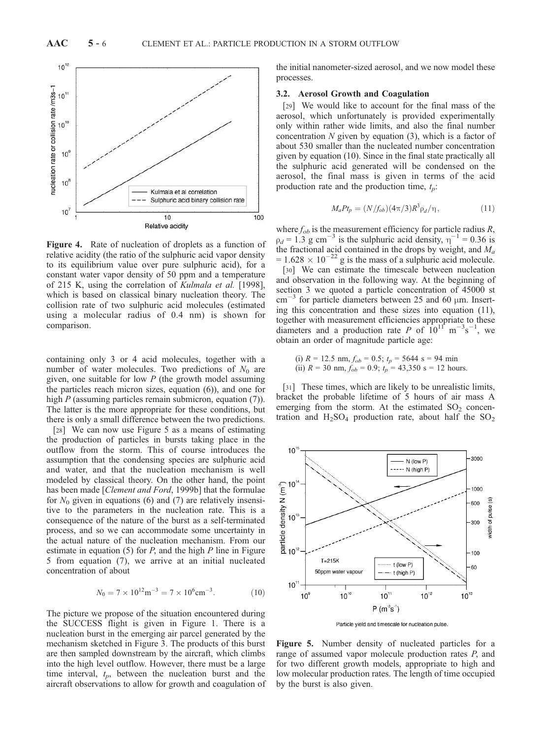

Figure 4. Rate of nucleation of droplets as a function of relative acidity (the ratio of the sulphuric acid vapor density to its equilibrium value over pure sulphuric acid), for a constant water vapor density of 50 ppm and a temperature of 215 K, using the correlation of Kulmala et al. [1998], which is based on classical binary nucleation theory. The collision rate of two sulphuric acid molecules (estimated using a molecular radius of 0.4 nm) is shown for comparison.

containing only 3 or 4 acid molecules, together with a number of water molecules. Two predictions of  $N_0$  are given, one suitable for low  $P$  (the growth model assuming the particles reach micron sizes, equation (6)), and one for high P (assuming particles remain submicron, equation (7)). The latter is the more appropriate for these conditions, but there is only a small difference between the two predictions.

[28] We can now use Figure 5 as a means of estimating the production of particles in bursts taking place in the outflow from the storm. This of course introduces the assumption that the condensing species are sulphuric acid and water, and that the nucleation mechanism is well modeled by classical theory. On the other hand, the point has been made [Clement and Ford, 1999b] that the formulae for  $N_0$  given in equations (6) and (7) are relatively insensitive to the parameters in the nucleation rate. This is a consequence of the nature of the burst as a self-terminated process, and so we can accommodate some uncertainty in the actual nature of the nucleation mechanism. From our estimate in equation  $(5)$  for P, and the high P line in Figure 5 from equation (7), we arrive at an initial nucleated concentration of about

$$
N_0 = 7 \times 10^{12} \text{m}^{-3} = 7 \times 10^6 \text{cm}^{-3}.
$$
 (10)

The picture we propose of the situation encountered during the SUCCESS flight is given in Figure 1. There is a nucleation burst in the emerging air parcel generated by the mechanism sketched in Figure 3. The products of this burst are then sampled downstream by the aircraft, which climbs into the high level outflow. However, there must be a large time interval,  $t_p$ , between the nucleation burst and the aircraft observations to allow for growth and coagulation of

the initial nanometer-sized aerosol, and we now model these processes.

## 3.2. Aerosol Growth and Coagulation

[29] We would like to account for the final mass of the aerosol, which unfortunately is provided experimentally only within rather wide limits, and also the final number concentration  $N$  given by equation  $(3)$ , which is a factor of about 530 smaller than the nucleated number concentration given by equation (10). Since in the final state practically all the sulphuric acid generated will be condensed on the aerosol, the final mass is given in terms of the acid production rate and the production time,  $t_n$ :

$$
M_a P t_p = (N/f_{ob})(4\pi/3)R^3 \rho_d/\eta\,,\tag{11}
$$

where  $f_{ob}$  is the measurement efficiency for particle radius R,  $\rho_d = 1.3$  g cm<sup>-3</sup> is the sulphuric acid density,  $\eta^{-1} = 0.36$  is the fractional acid contained in the drops by weight, and  $M_a$  $= 1.628 \times 10^{-22}$  g is the mass of a sulphuric acid molecule.

[30] We can estimate the timescale between nucleation and observation in the following way. At the beginning of section 3 we quoted a particle concentration of 45000 st  $\text{cm}^{-3}$  for particle diameters between 25 and 60  $\mu$ m. Inserting this concentration and these sizes into equation (11), together with measurement efficiencies appropriate to these diameters and a production rate P of  $10^{11^2}$  m<sup>-3</sup>s<sup>-1</sup>, we obtain an order of magnitude particle age:

(i) 
$$
R = 12.5
$$
 nm,  $f_{ob} = 0.5$ ;  $t_p = 5644$  s = 94 min  
(ii)  $R = 30$  nm,  $f_{ob} = 0.9$ ;  $t_p = 43,350$  s = 12 hours.

[31] These times, which are likely to be unrealistic limits, bracket the probable lifetime of 5 hours of air mass A emerging from the storm. At the estimated  $SO<sub>2</sub>$  concentration and  $H_2SO_4$  production rate, about half the  $SO_2$ 



Particle yield and timescale for nucleation pulse.

Figure 5. Number density of nucleated particles for a range of assumed vapor molecule production rates P, and for two different growth models, appropriate to high and low molecular production rates. The length of time occupied by the burst is also given.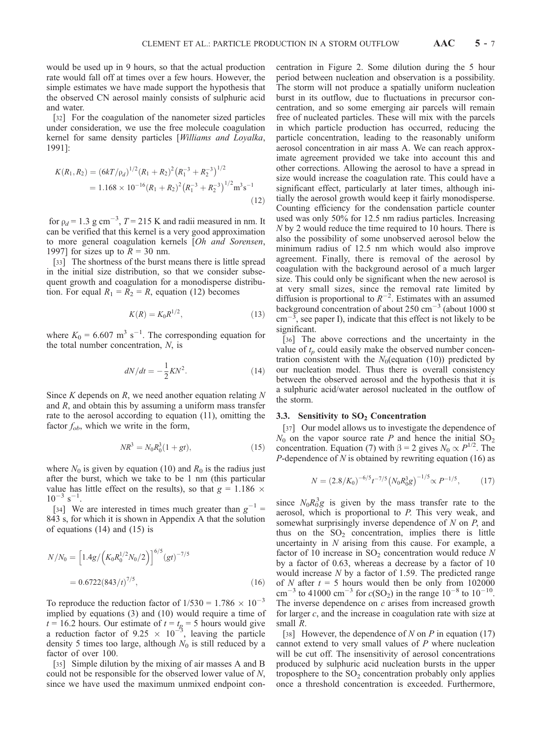would be used up in 9 hours, so that the actual production rate would fall off at times over a few hours. However, the simple estimates we have made support the hypothesis that the observed CN aerosol mainly consists of sulphuric acid and water.

[32] For the coagulation of the nanometer sized particles under consideration, we use the free molecule coagulation kernel for same density particles [Williams and Loyalka, 1991]:

$$
K(R_1, R_2) = (6kT/\rho_d)^{1/2} (R_1 + R_2)^2 (R_1^{-3} + R_2^{-3})^{1/2}
$$
  
= 1.168 × 10<sup>-16</sup> (R<sub>1</sub> + R<sub>2</sub>)<sup>2</sup> (R<sub>1</sub><sup>-3</sup> + R<sub>2</sub><sup>-3</sup>)<sup>1/2</sup> m<sup>3</sup>s<sup>-1</sup> (12)

for  $\rho_d = 1.3$  g cm<sup>-3</sup>,  $T = 215$  K and radii measured in nm. It can be verified that this kernel is a very good approximation to more general coagulation kernels [Oh and Sorensen, 1997] for sizes up to  $R = 30$  nm.

[33] The shortness of the burst means there is little spread in the initial size distribution, so that we consider subsequent growth and coagulation for a monodisperse distribution. For equal  $R_1 = R_2 = R$ , equation (12) becomes

$$
K(R) = K_0 R^{1/2},
$$
\n(13)

where  $K_0 = 6.607 \text{ m}^3 \text{ s}^{-1}$ . The corresponding equation for the total number concentration,  $N$ , is

$$
dN/dt = -\frac{1}{2}KN^2.
$$
 (14)

Since K depends on R, we need another equation relating  $N$ and *, and obtain this by assuming a uniform mass transfer* rate to the aerosol according to equation (11), omitting the factor  $f_{ob}$ , which we write in the form,

$$
NR^3 = N_0 R_0^3 (1 + gt),
$$
\n(15)

where  $N_0$  is given by equation (10) and  $R_0$  is the radius just after the burst, which we take to be 1 nm (this particular value has little effect on the results), so that  $g = 1.186 \times$  $10^{-3}$  s<sup>-1</sup>.

[34] We are interested in times much greater than  $g^{-1}$  = 843 s, for which it is shown in Appendix A that the solution of equations (14) and (15) is

$$
N/N_0 = \left[1.4g/\left(K_0 R_0^{1/2} N_0/2\right)\right]^{6/5} (gt)^{-7/5}
$$
  
= 0.6722(843/t)^{7/5}, (16)

To reproduce the reduction factor of  $1/530 = 1.786 \times 10^{-3}$ implied by equations (3) and (10) would require a time of  $t = 16.2$  hours. Our estimate of  $t = t_p = 5$  hours would give a reduction factor of 9.25  $\times$  10<sup>-5</sup>, leaving the particle density 5 times too large, although  $N_0$  is still reduced by a factor of over 100.

[35] Simple dilution by the mixing of air masses A and B could not be responsible for the observed lower value of N, since we have used the maximum unmixed endpoint concentration in Figure 2. Some dilution during the 5 hour period between nucleation and observation is a possibility. The storm will not produce a spatially uniform nucleation burst in its outflow, due to fluctuations in precursor concentration, and so some emerging air parcels will remain free of nucleated particles. These will mix with the parcels in which particle production has occurred, reducing the particle concentration, leading to the reasonably uniform aerosol concentration in air mass A. We can reach approximate agreement provided we take into account this and other corrections. Allowing the aerosol to have a spread in size would increase the coagulation rate. This could have a significant effect, particularly at later times, although initially the aerosol growth would keep it fairly monodisperse. Counting efficiency for the condensation particle counter used was only 50% for 12.5 nm radius particles. Increasing N by 2 would reduce the time required to 10 hours. There is also the possibility of some unobserved aerosol below the minimum radius of 12.5 nm which would also improve agreement. Finally, there is removal of the aerosol by coagulation with the background aerosol of a much larger size. This could only be significant when the new aerosol is at very small sizes, since the removal rate limited by diffusion is proportional to  $R^{-2}$ . Estimates with an assumed background concentration of about  $250 \text{ cm}^{-3}$  (about 1000 st  $\text{cm}^{-3}$ , see paper I), indicate that this effect is not likely to be significant.

[36] The above corrections and the uncertainty in the value of  $t_p$  could easily make the observed number concentration consistent with the  $N_0$ (equation (10)) predicted by our nucleation model. Thus there is overall consistency between the observed aerosol and the hypothesis that it is a sulphuric acid/water aerosol nucleated in the outflow of the storm.

# 3.3. Sensitivity to  $SO<sub>2</sub>$  Concentration

[37] Our model allows us to investigate the dependence of  $N_0$  on the vapor source rate P and hence the initial  $SO_2$ concentration. Equation (7) with  $\beta = 2$  gives  $N_0 \propto P^{1/2}$ . The P-dependence of  $N$  is obtained by rewriting equation (16) as

$$
N = (2.8/K_0)^{-6/5} t^{-7/5} \left(N_0 R_0^3 g\right)^{-1/5} \propto P^{-1/5},\tag{17}
$$

since  $N_0R_0^3g$  is given by the mass transfer rate to the aerosol, which is proportional to P. This very weak, and somewhat surprisingly inverse dependence of  $N$  on  $P$ , and thus on the  $SO<sub>2</sub>$  concentration, implies there is little uncertainty in  $N$  arising from this cause. For example, a factor of 10 increase in  $SO_2$  concentration would reduce N by a factor of 0.63, whereas a decrease by a factor of 10 would increase N by a factor of 1.59. The predicted range of N after  $t = 5$  hours would then be only from 102000 cm<sup>-3</sup> to 41000 cm<sup>-3</sup> for  $c(SO_2)$  in the range 10<sup>-8</sup> to 10<sup>-10</sup>. The inverse dependence on  $c$  arises from increased growth for larger c, and the increase in coagulation rate with size at small R.

[38] However, the dependence of N on P in equation (17) cannot extend to very small values of  $P$  where nucleation will be cut off. The insensitivity of aerosol concentrations produced by sulphuric acid nucleation bursts in the upper troposphere to the  $SO<sub>2</sub>$  concentration probably only applies once a threshold concentration is exceeded. Furthermore,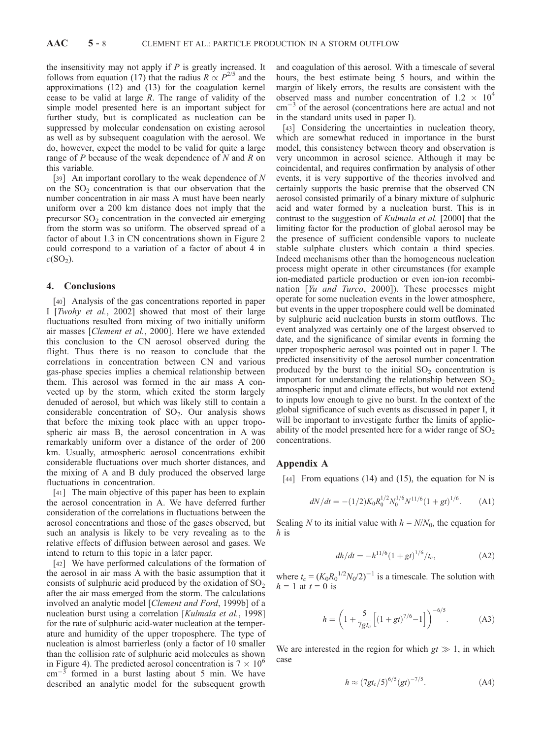the insensitivity may not apply if  $P$  is greatly increased. It follows from equation (17) that the radius  $R \propto P^{2/5}$  and the approximations (12) and (13) for the coagulation kernel cease to be valid at large  $R$ . The range of validity of the simple model presented here is an important subject for further study, but is complicated as nucleation can be suppressed by molecular condensation on existing aerosol as well as by subsequent coagulation with the aerosol. We do, however, expect the model to be valid for quite a large range of  $P$  because of the weak dependence of  $N$  and  $R$  on this variable.

[39] An important corollary to the weak dependence of  $N$ on the  $SO<sub>2</sub>$  concentration is that our observation that the number concentration in air mass A must have been nearly uniform over a 200 km distance does not imply that the precursor  $SO<sub>2</sub>$  concentration in the convected air emerging from the storm was so uniform. The observed spread of a factor of about 1.3 in CN concentrations shown in Figure 2 could correspond to a variation of a factor of about 4 in  $c(SO<sub>2</sub>)$ .

# 4. Conclusions

[40] Analysis of the gas concentrations reported in paper I [Twohy et al., 2002] showed that most of their large fluctuations resulted from mixing of two initially uniform air masses [Clement et al., 2000]. Here we have extended this conclusion to the CN aerosol observed during the flight. Thus there is no reason to conclude that the correlations in concentration between CN and various gas-phase species implies a chemical relationship between them. This aerosol was formed in the air mass A convected up by the storm, which exited the storm largely denuded of aerosol, but which was likely still to contain a considerable concentration of  $SO_2$ . Our analysis shows that before the mixing took place with an upper tropospheric air mass B, the aerosol concentration in A was remarkably uniform over a distance of the order of 200 km. Usually, atmospheric aerosol concentrations exhibit considerable fluctuations over much shorter distances, and the mixing of A and B duly produced the observed large fluctuations in concentration.

[41] The main objective of this paper has been to explain the aerosol concentration in A. We have deferred further consideration of the correlations in fluctuations between the aerosol concentrations and those of the gases observed, but such an analysis is likely to be very revealing as to the relative effects of diffusion between aerosol and gases. We intend to return to this topic in a later paper.

[42] We have performed calculations of the formation of the aerosol in air mass A with the basic assumption that it consists of sulphuric acid produced by the oxidation of  $SO<sub>2</sub>$ after the air mass emerged from the storm. The calculations involved an analytic model [Clement and Ford, 1999b] of a nucleation burst using a correlation [Kulmala et al., 1998] for the rate of sulphuric acid-water nucleation at the temperature and humidity of the upper troposphere. The type of nucleation is almost barrierless (only a factor of 10 smaller than the collision rate of sulphuric acid molecules as shown in Figure 4). The predicted aerosol concentration is  $7 \times 10^6$  $\text{cm}^{-3}$  formed in a burst lasting about 5 min. We have described an analytic model for the subsequent growth

and coagulation of this aerosol. With a timescale of several hours, the best estimate being 5 hours, and within the margin of likely errors, the results are consistent with the observed mass and number concentration of  $1.2 \times 10^4$  $\text{cm}^{-3}$  of the aerosol (concentrations here are actual and not in the standard units used in paper I).

[43] Considering the uncertainties in nucleation theory, which are somewhat reduced in importance in the burst model, this consistency between theory and observation is very uncommon in aerosol science. Although it may be coincidental, and requires confirmation by analysis of other events, it is very supportive of the theories involved and certainly supports the basic premise that the observed CN aerosol consisted primarily of a binary mixture of sulphuric acid and water formed by a nucleation burst. This is in contrast to the suggestion of Kulmala et al. [2000] that the limiting factor for the production of global aerosol may be the presence of sufficient condensible vapors to nucleate stable sulphate clusters which contain a third species. Indeed mechanisms other than the homogeneous nucleation process might operate in other circumstances (for example ion-mediated particle production or even ion-ion recombination [Yu and Turco, 2000]). These processes might operate for some nucleation events in the lower atmosphere, but events in the upper troposphere could well be dominated by sulphuric acid nucleation bursts in storm outflows. The event analyzed was certainly one of the largest observed to date, and the significance of similar events in forming the upper tropospheric aerosol was pointed out in paper I. The predicted insensitivity of the aerosol number concentration produced by the burst to the initial  $SO<sub>2</sub>$  concentration is important for understanding the relationship between  $SO<sub>2</sub>$ atmospheric input and climate effects, but would not extend to inputs low enough to give no burst. In the context of the global significance of such events as discussed in paper I, it will be important to investigate further the limits of applicability of the model presented here for a wider range of  $SO<sub>2</sub>$ concentrations.

## Appendix A

[44] From equations (14) and (15), the equation for N is

$$
dN/dt = -(1/2)K_0 R_0^{1/2} N_0^{1/6} N^{11/6} (1+gt)^{1/6}.
$$
 (A1)

Scaling N to its initial value with  $h = N/N_0$ , the equation for h is

$$
dh/dt = -h^{11/6} (1+gt)^{1/6} / t_c,
$$
 (A2)

where  $t_c = (K_0 R_0^{1/2} N_0 / 2)^{-1}$  is a timescale. The solution with  $h = 1$  at  $t = 0$  is

$$
h = \left(1 + \frac{5}{7gt_c} \left[ (1 + gt)^{7/6} - 1 \right] \right)^{-6/5}.
$$
 (A3)

We are interested in the region for which  $gt \gg 1$ , in which case

$$
h \approx (7gt_c/5)^{6/5} (gt)^{-7/5}.
$$
 (A4)